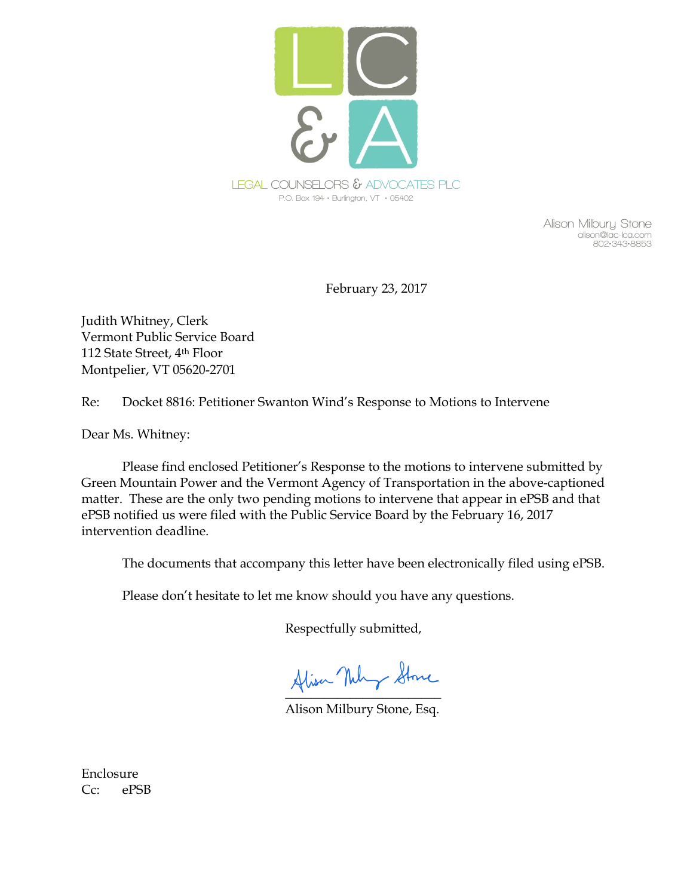

**Alison Milbury Stone alison@lac-lca.com 802•343•8853** 

February 23, 2017

Judith Whitney, Clerk Vermont Public Service Board 112 State Street, 4th Floor Montpelier, VT 05620-2701

Re: Docket 8816: Petitioner Swanton Wind's Response to Motions to Intervene

Dear Ms. Whitney:

Please find enclosed Petitioner's Response to the motions to intervene submitted by Green Mountain Power and the Vermont Agency of Transportation in the above-captioned matter. These are the only two pending motions to intervene that appear in ePSB and that ePSB notified us were filed with the Public Service Board by the February 16, 2017 intervention deadline.

The documents that accompany this letter have been electronically filed using ePSB.

Please don't hesitate to let me know should you have any questions.

Respectfully submitted,

Alisa Nuly Stone

Alison Milbury Stone, Esq.

Enclosure Cc: ePSB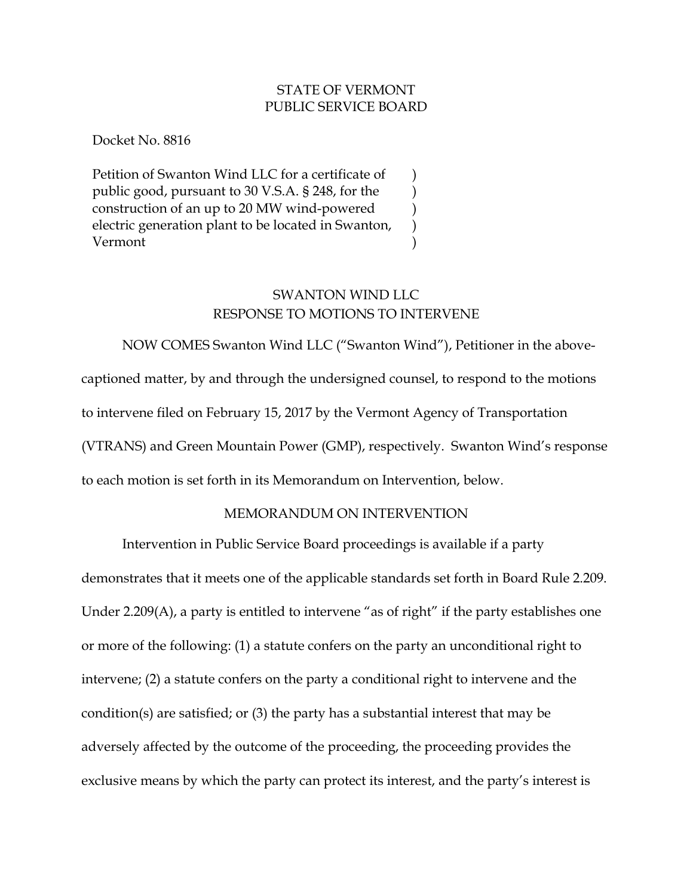### STATE OF VERMONT PUBLIC SERVICE BOARD

) ) ) ) )

Docket No. 8816

Petition of Swanton Wind LLC for a certificate of public good, pursuant to 30 V.S.A. § 248, for the construction of an up to 20 MW wind-powered electric generation plant to be located in Swanton, Vermont

# SWANTON WIND LLC RESPONSE TO MOTIONS TO INTERVENE

NOW COMES Swanton Wind LLC ("Swanton Wind"), Petitioner in the abovecaptioned matter, by and through the undersigned counsel, to respond to the motions to intervene filed on February 15, 2017 by the Vermont Agency of Transportation (VTRANS) and Green Mountain Power (GMP), respectively. Swanton Wind's response to each motion is set forth in its Memorandum on Intervention, below.

## MEMORANDUM ON INTERVENTION

Intervention in Public Service Board proceedings is available if a party

demonstrates that it meets one of the applicable standards set forth in Board Rule 2.209. Under 2.209(A), a party is entitled to intervene "as of right" if the party establishes one or more of the following: (1) a statute confers on the party an unconditional right to intervene; (2) a statute confers on the party a conditional right to intervene and the condition(s) are satisfied; or (3) the party has a substantial interest that may be adversely affected by the outcome of the proceeding, the proceeding provides the exclusive means by which the party can protect its interest, and the party's interest is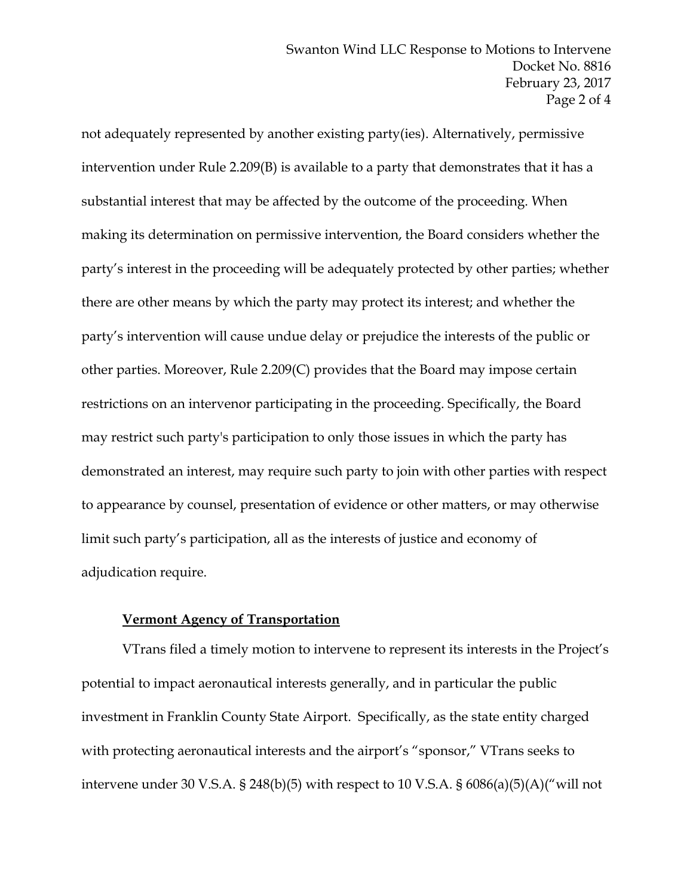not adequately represented by another existing party(ies). Alternatively, permissive intervention under Rule 2.209(B) is available to a party that demonstrates that it has a substantial interest that may be affected by the outcome of the proceeding. When making its determination on permissive intervention, the Board considers whether the party's interest in the proceeding will be adequately protected by other parties; whether there are other means by which the party may protect its interest; and whether the party's intervention will cause undue delay or prejudice the interests of the public or other parties. Moreover, Rule 2.209(C) provides that the Board may impose certain restrictions on an intervenor participating in the proceeding. Specifically, the Board may restrict such party's participation to only those issues in which the party has demonstrated an interest, may require such party to join with other parties with respect to appearance by counsel, presentation of evidence or other matters, or may otherwise limit such party's participation, all as the interests of justice and economy of adjudication require.

#### **Vermont Agency of Transportation**

VTrans filed a timely motion to intervene to represent its interests in the Project's potential to impact aeronautical interests generally, and in particular the public investment in Franklin County State Airport. Specifically, as the state entity charged with protecting aeronautical interests and the airport's "sponsor," VTrans seeks to intervene under 30 V.S.A. § 248(b)(5) with respect to 10 V.S.A. §  $6086(a)(5)(A)$ ("will not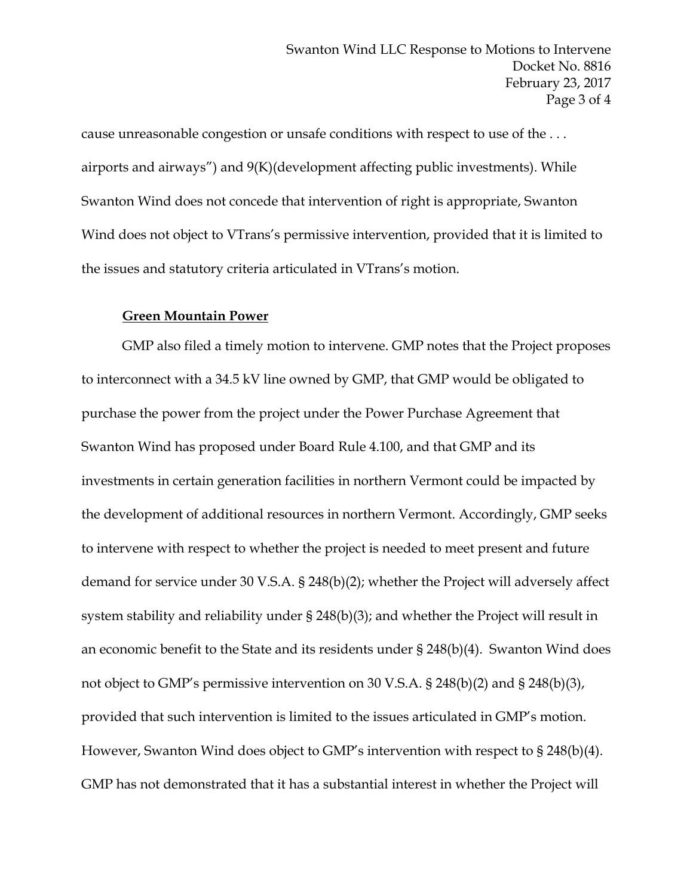cause unreasonable congestion or unsafe conditions with respect to use of the . . . airports and airways") and 9(K)(development affecting public investments). While Swanton Wind does not concede that intervention of right is appropriate, Swanton Wind does not object to VTrans's permissive intervention, provided that it is limited to the issues and statutory criteria articulated in VTrans's motion.

#### **Green Mountain Power**

 GMP also filed a timely motion to intervene. GMP notes that the Project proposes to interconnect with a 34.5 kV line owned by GMP, that GMP would be obligated to purchase the power from the project under the Power Purchase Agreement that Swanton Wind has proposed under Board Rule 4.100, and that GMP and its investments in certain generation facilities in northern Vermont could be impacted by the development of additional resources in northern Vermont. Accordingly, GMP seeks to intervene with respect to whether the project is needed to meet present and future demand for service under 30 V.S.A. § 248(b)(2); whether the Project will adversely affect system stability and reliability under § 248(b)(3); and whether the Project will result in an economic benefit to the State and its residents under § 248(b)(4). Swanton Wind does not object to GMP's permissive intervention on 30 V.S.A. § 248(b)(2) and § 248(b)(3), provided that such intervention is limited to the issues articulated in GMP's motion. However, Swanton Wind does object to GMP's intervention with respect to § 248(b)(4). GMP has not demonstrated that it has a substantial interest in whether the Project will